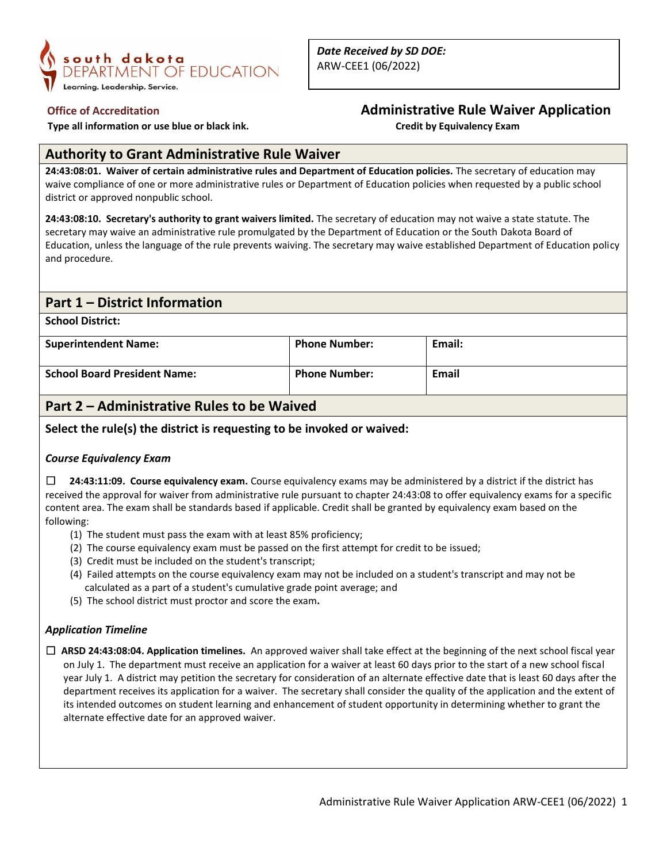

 **Type all information or use blue or black ink. Credit by Equivalency Exam**

# **Office of Accreditation Administrative Rule Waiver Application**

## **Authority to Grant Administrative Rule Waiver**

**24:43:08:01. Waiver of certain administrative rules and Department of Education policies.** The secretary of education may waive compliance of one or more administrative rules or Department of Education policies when requested by a public school district or approved nonpublic school.

**24:43:08:10. Secretary's authority to grant waivers limited.** The secretary of education may not waive a state statute. The secretary may waive an administrative rule promulgated by the Department of Education or the South Dakota Board of Education, unless the language of the rule prevents waiving. The secretary may waive established Department of Education policy and procedure.

## **Part 1 – District Information**

**School District:**

| <b>Superintendent Name:</b>         | <b>Phone Number:</b> | Email: |
|-------------------------------------|----------------------|--------|
| <b>School Board President Name:</b> | <b>Phone Number:</b> | Email  |

## **Part 2 – Administrative Rules to be Waived**

**Select the rule(s) the district is requesting to be invoked or waived:**

### *Course Equivalency Exam*

☐ **24:43:11:09. Course equivalency exam.** Course equivalency exams may be administered by a district if the district has received the approval for waiver from administrative rule pursuant to chapter 24:43:08 to offer equivalency exams for a specific content area. The exam shall be standards based if applicable. Credit shall be granted by equivalency exam based on the following:

- (1) The student must pass the exam with at least 85% proficiency;
- (2) The course equivalency exam must be passed on the first attempt for credit to be issued;
- (3) Credit must be included on the student's transcript;
- (4) Failed attempts on the course equivalency exam may not be included on a student's transcript and may not be calculated as a part of a student's cumulative grade point average; and
- (5) The school district must proctor and score the exam**.**

### *Application Timeline*

☐ **ARSD 24:43:08:04. Application timelines.** An approved waiver shall take effect at the beginning of the next school fiscal year on July 1. The department must receive an application for a waiver at least 60 days prior to the start of a new school fiscal year July 1. A district may petition the secretary for consideration of an alternate effective date that is least 60 days after the department receives its application for a waiver. The secretary shall consider the quality of the application and the extent of its intended outcomes on student learning and enhancement of student opportunity in determining whether to grant the alternate effective date for an approved waiver.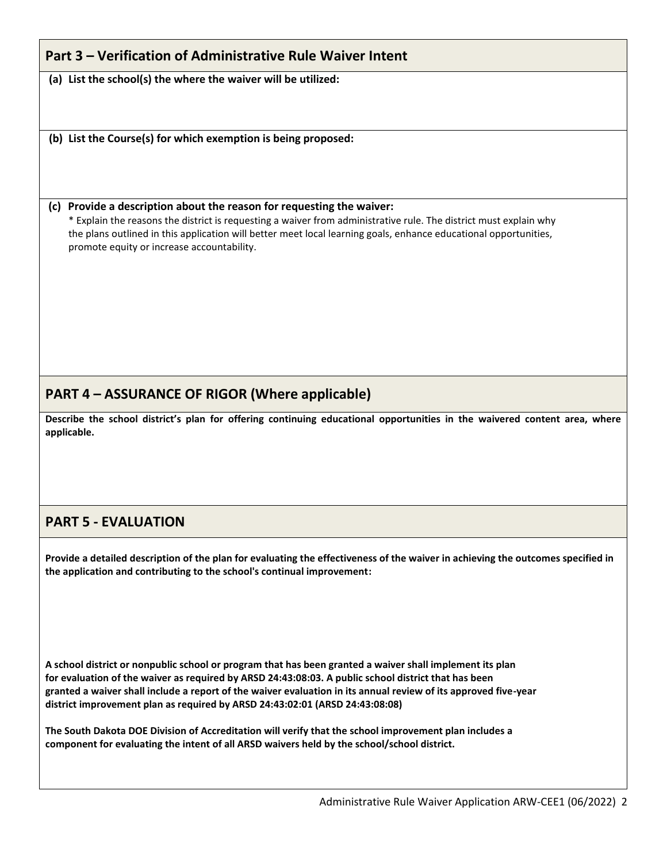# **Part 3 – Verification of Administrative Rule Waiver Intent**

**(a) List the school(s) the where the waiver will be utilized:**

**(b) List the Course(s) for which exemption is being proposed:**

#### **(c) Provide a description about the reason for requesting the waiver:**

\* Explain the reasons the district is requesting a waiver from administrative rule. The district must explain why the plans outlined in this application will better meet local learning goals, enhance educational opportunities, promote equity or increase accountability.

# **PART 4 – ASSURANCE OF RIGOR (Where applicable)**

**Describe the school district's plan for offering continuing educational opportunities in the waivered content area, where applicable.**

## **PART 5 - EVALUATION**

**Provide a detailed description of the plan for evaluating the effectiveness of the waiver in achieving the outcomes specified in the application and contributing to the school's continual improvement:**

**A school district or nonpublic school or program that has been granted a waiver shall implement its plan for evaluation of the waiver as required by ARSD 24:43:08:03. A public school district that has been granted a waiver shall include a report of the waiver evaluation in its annual review of its approved five-year district improvement plan as required by ARSD 24:43:02:01 (ARSD 24:43:08:08)**

**The South Dakota DOE Division of Accreditation will verify that the school improvement plan includes a component for evaluating the intent of all ARSD waivers held by the school/school district.**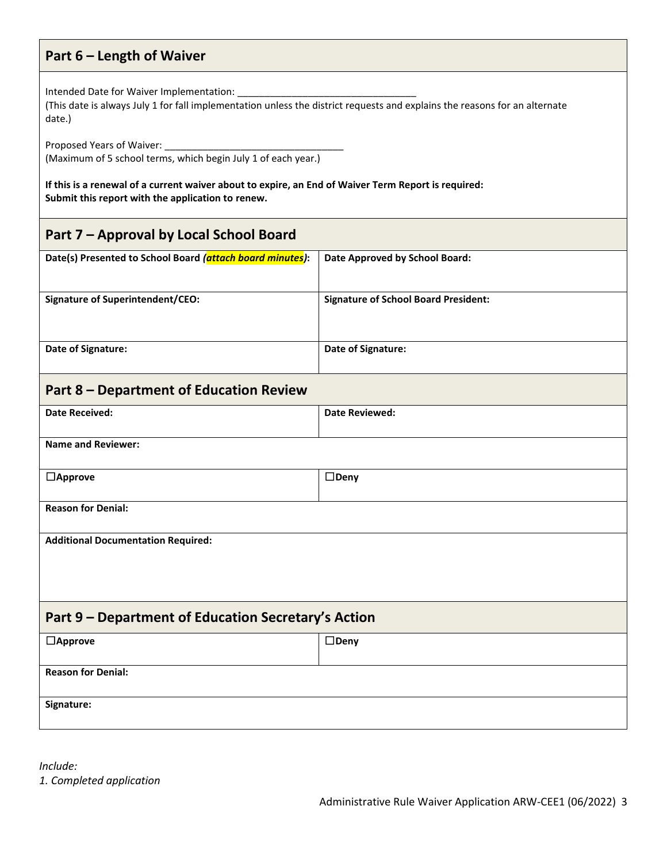# **Part 6 – Length of Waiver**

Intended Date for Waiver Implementation:

(This date is always July 1 for fall implementation unless the district requests and explains the reasons for an alternate date.)

Proposed Years of Waiver:

(Maximum of 5 school terms, which begin July 1 of each year.)

**If this is a renewal of a current waiver about to expire, an End of Waiver Term Report is required: Submit this report with the application to renew.**

| Part 7 - Approval by Local School Board                   |                                             |  |
|-----------------------------------------------------------|---------------------------------------------|--|
| Date(s) Presented to School Board (attach board minutes): | Date Approved by School Board:              |  |
| <b>Signature of Superintendent/CEO:</b>                   | <b>Signature of School Board President:</b> |  |
| Date of Signature:                                        | Date of Signature:                          |  |
| <b>Part 8 - Department of Education Review</b>            |                                             |  |
| <b>Date Received:</b>                                     | <b>Date Reviewed:</b>                       |  |
| <b>Name and Reviewer:</b>                                 |                                             |  |
| $\Box$ Approve                                            | $\square$ Deny                              |  |
| <b>Reason for Denial:</b>                                 |                                             |  |
| <b>Additional Documentation Required:</b>                 |                                             |  |
| Part 9 - Department of Education Secretary's Action       |                                             |  |
| $\Box$ Approve                                            | $\square$ Deny                              |  |
| <b>Reason for Denial:</b>                                 |                                             |  |
| Signature:                                                |                                             |  |